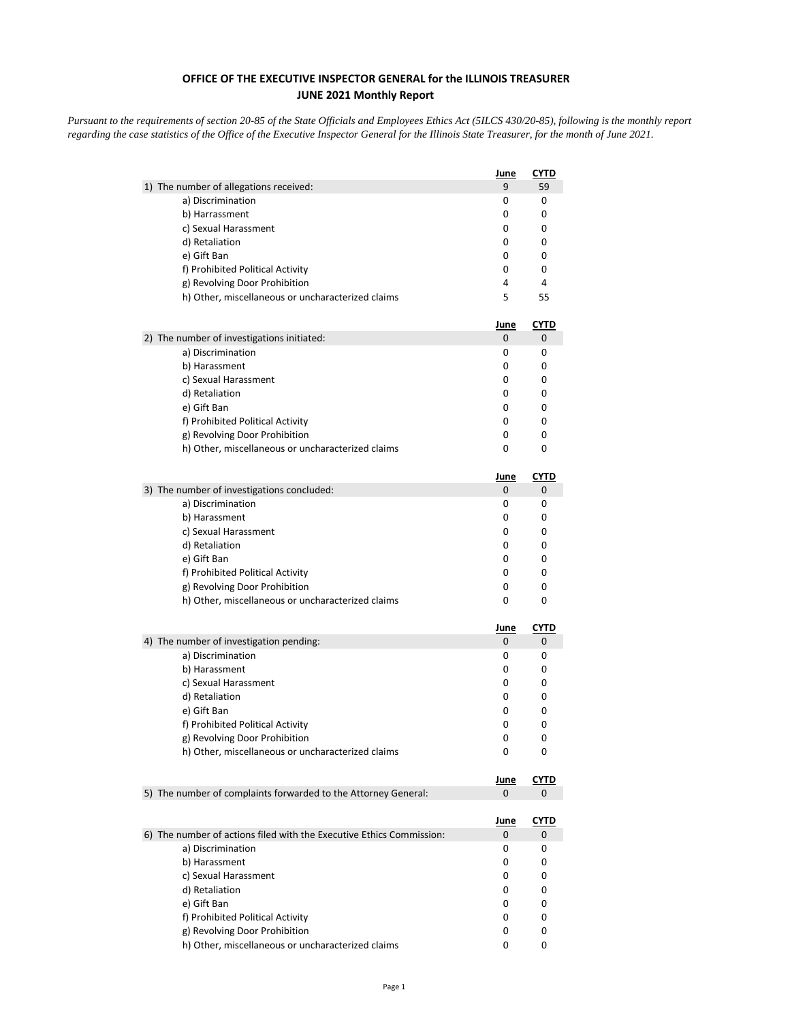## **OFFICE OF THE EXECUTIVE INSPECTOR GENERAL for the ILLINOIS TREASURER JUNE 2021 Monthly Report**

*Pursuant to the requirements of section 20-85 of the State Officials and Employees Ethics Act (5ILCS 430/20-85), following is the monthly report regarding the case statistics of the Office of the Executive Inspector General for the Illinois State Treasurer, for the month of June 2021.* 

|                                                                      | June        | <b>CYTD</b> |
|----------------------------------------------------------------------|-------------|-------------|
| 1) The number of allegations received:                               | 9           | 59          |
| a) Discrimination                                                    | 0           | 0           |
| b) Harrassment                                                       | 0           | 0           |
| c) Sexual Harassment                                                 | 0           | 0           |
| d) Retaliation                                                       | 0           | 0           |
| e) Gift Ban                                                          | 0           | 0           |
| f) Prohibited Political Activity                                     | 0           | 0           |
| g) Revolving Door Prohibition                                        | 4           | 4           |
| h) Other, miscellaneous or uncharacterized claims                    | 5           | 55          |
|                                                                      | <u>June</u> | <u>CYTD</u> |
| 2) The number of investigations initiated:                           | 0           | 0           |
| a) Discrimination                                                    | 0           | 0           |
| b) Harassment                                                        | 0           | 0           |
| c) Sexual Harassment                                                 | 0           | 0           |
| d) Retaliation                                                       | 0           | 0           |
| e) Gift Ban                                                          | 0           | 0           |
| f) Prohibited Political Activity                                     | 0           | 0           |
| g) Revolving Door Prohibition                                        | 0           | 0           |
| h) Other, miscellaneous or uncharacterized claims                    | 0           | 0           |
|                                                                      | <u>June</u> | <b>CYTD</b> |
| 3) The number of investigations concluded:                           | 0           | 0           |
| a) Discrimination                                                    | 0           | 0           |
| b) Harassment                                                        | 0           | 0           |
| c) Sexual Harassment                                                 | 0           | 0           |
| d) Retaliation                                                       | 0           | 0           |
| e) Gift Ban                                                          | 0           | 0           |
| f) Prohibited Political Activity                                     | 0           | 0           |
| g) Revolving Door Prohibition                                        | 0           | 0           |
| h) Other, miscellaneous or uncharacterized claims                    | 0           | 0           |
|                                                                      | <u>June</u> | <b>CYTD</b> |
| 4) The number of investigation pending:                              | 0           | 0           |
| a) Discrimination                                                    | 0           | 0           |
| b) Harassment                                                        | 0           | 0           |
| c) Sexual Harassment                                                 | 0           | 0           |
| d) Retaliation                                                       | 0           | 0           |
| e) Gift Ban                                                          | 0           | 0           |
| f) Prohibited Political Activity                                     | 0           | 0           |
| g) Revolving Door Prohibition                                        | 0           | 0           |
| h) Other, miscellaneous or uncharacterized claims                    | 0           | 0           |
|                                                                      | <u>June</u> | <b>CYTD</b> |
| 5) The number of complaints forwarded to the Attorney General:       | 0           | 0           |
|                                                                      | <u>June</u> | <u>CYTD</u> |
| 6) The number of actions filed with the Executive Ethics Commission: | 0           | 0           |
| a) Discrimination                                                    | 0           | 0           |
| b) Harassment                                                        | 0           | 0           |
| c) Sexual Harassment                                                 | 0           | 0           |
| d) Retaliation                                                       | 0           | 0           |
| e) Gift Ban                                                          | 0           | 0           |
| f) Prohibited Political Activity                                     | 0           | 0           |
| g) Revolving Door Prohibition                                        | 0           | 0           |
| h) Other, miscellaneous or uncharacterized claims                    | 0           | 0           |